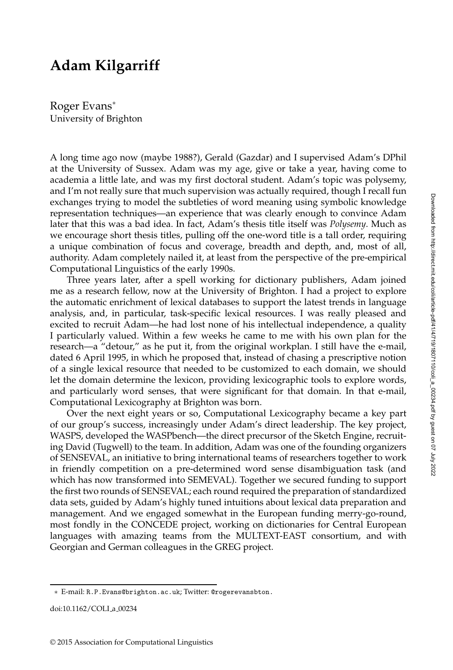## **Adam Kilgarriff**

Roger Evans<sup>∗</sup> University of Brighton

A long time ago now (maybe 1988?), Gerald (Gazdar) and I supervised Adam's DPhil at the University of Sussex. Adam was my age, give or take a year, having come to academia a little late, and was my first doctoral student. Adam's topic was polysemy, and I'm not really sure that much supervision was actually required, though I recall fun exchanges trying to model the subtleties of word meaning using symbolic knowledge representation techniques—an experience that was clearly enough to convince Adam later that this was a bad idea. In fact, Adam's thesis title itself was *Polysemy*. Much as we encourage short thesis titles, pulling off the one-word title is a tall order, requiring a unique combination of focus and coverage, breadth and depth, and, most of all, authority. Adam completely nailed it, at least from the perspective of the pre-empirical Computational Linguistics of the early 1990s.

Three years later, after a spell working for dictionary publishers, Adam joined me as a research fellow, now at the University of Brighton. I had a project to explore the automatic enrichment of lexical databases to support the latest trends in language analysis, and, in particular, task-specific lexical resources. I was really pleased and excited to recruit Adam—he had lost none of his intellectual independence, a quality I particularly valued. Within a few weeks he came to me with his own plan for the research—a "detour," as he put it, from the original workplan. I still have the e-mail, dated 6 April 1995, in which he proposed that, instead of chasing a prescriptive notion of a single lexical resource that needed to be customized to each domain, we should let the domain determine the lexicon, providing lexicographic tools to explore words, and particularly word senses, that were significant for that domain. In that e-mail, Computational Lexicography at Brighton was born.

Over the next eight years or so, Computational Lexicography became a key part of our group's success, increasingly under Adam's direct leadership. The key project, WASPS, developed the WASPbench—the direct precursor of the Sketch Engine, recruiting David (Tugwell) to the team. In addition, Adam was one of the founding organizers of SENSEVAL, an initiative to bring international teams of researchers together to work in friendly competition on a pre-determined word sense disambiguation task (and which has now transformed into SEMEVAL). Together we secured funding to support the first two rounds of SENSEVAL; each round required the preparation of standardized data sets, guided by Adam's highly tuned intuitions about lexical data preparation and management. And we engaged somewhat in the European funding merry-go-round, most fondly in the CONCEDE project, working on dictionaries for Central European languages with amazing teams from the MULTEXT-EAST consortium, and with Georgian and German colleagues in the GREG project.

doi:10.1162/COLI a 00234

<sup>∗</sup> E-mail: R.P.Evans@brighton.ac.uk; Twitter: @rogerevansbton.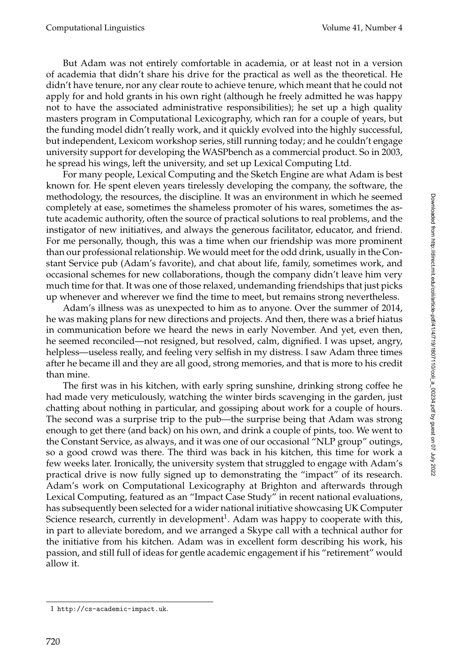But Adam was not entirely comfortable in academia, or at least not in a version of academia that didn't share his drive for the practical as well as the theoretical. He didn't have tenure, nor any clear route to achieve tenure, which meant that he could not apply for and hold grants in his own right (although he freely admitted he was happy not to have the associated administrative responsibilities); he set up a high quality masters program in Computational Lexicography, which ran for a couple of years, but the funding model didn't really work, and it quickly evolved into the highly successful, but independent, Lexicom workshop series, still running today; and he couldn't engage university support for developing the WASPbench as a commercial product. So in 2003, he spread his wings, left the university, and set up Lexical Computing Ltd.

For many people, Lexical Computing and the Sketch Engine are what Adam is best known for. He spent eleven years tirelessly developing the company, the software, the methodology, the resources, the discipline. It was an environment in which he seemed completely at ease, sometimes the shameless promoter of his wares, sometimes the astute academic authority, often the source of practical solutions to real problems, and the instigator of new initiatives, and always the generous facilitator, educator, and friend. For me personally, though, this was a time when our friendship was more prominent than our professional relationship. We would meet for the odd drink, usually in the Constant Service pub (Adam's favorite), and chat about life, family, sometimes work, and occasional schemes for new collaborations, though the company didn't leave him very much time for that. It was one of those relaxed, undemanding friendships that just picks up whenever and wherever we find the time to meet, but remains strong nevertheless.

Adam's illness was as unexpected to him as to anyone. Over the summer of 2014, he was making plans for new directions and projects. And then, there was a brief hiatus in communication before we heard the news in early November. And yet, even then, he seemed reconciled—not resigned, but resolved, calm, dignified. I was upset, angry, helpless—useless really, and feeling very selfish in my distress. I saw Adam three times after he became ill and they are all good, strong memories, and that is more to his credit than mine.

The first was in his kitchen, with early spring sunshine, drinking strong coffee he had made very meticulously, watching the winter birds scavenging in the garden, just chatting about nothing in particular, and gossiping about work for a couple of hours. The second was a surprise trip to the pub—the surprise being that Adam was strong enough to get there (and back) on his own, and drink a couple of pints, too. We went to the Constant Service, as always, and it was one of our occasional "NLP group" outings, so a good crowd was there. The third was back in his kitchen, this time for work a few weeks later. Ironically, the university system that struggled to engage with Adam's practical drive is now fully signed up to demonstrating the "impact" of its research. Adam's work on Computational Lexicography at Brighton and afterwards through Lexical Computing, featured as an "Impact Case Study" in recent national evaluations, has subsequently been selected for a wider national initiative showcasing UK Computer Science research, currently in development<sup>1</sup>. Adam was happy to cooperate with this, in part to alleviate boredom, and we arranged a Skype call with a technical author for the initiative from his kitchen. Adam was in excellent form describing his work, his passion, and still full of ideas for gentle academic engagement if his "retirement" would allow it.

Downloaded from http://direct.mit.edu/coli/article-pdf/41/4/719/1807110/coli\_a\_00234.pdf by guest on 07 July 2022 Downloaded from http://direct.mit.edu/coli/article-pdf/41/4/719/1807110/coli\_a\_00234.pdf by guest on 07 July 2022

<sup>1</sup> http://cs-academic-impact.uk.